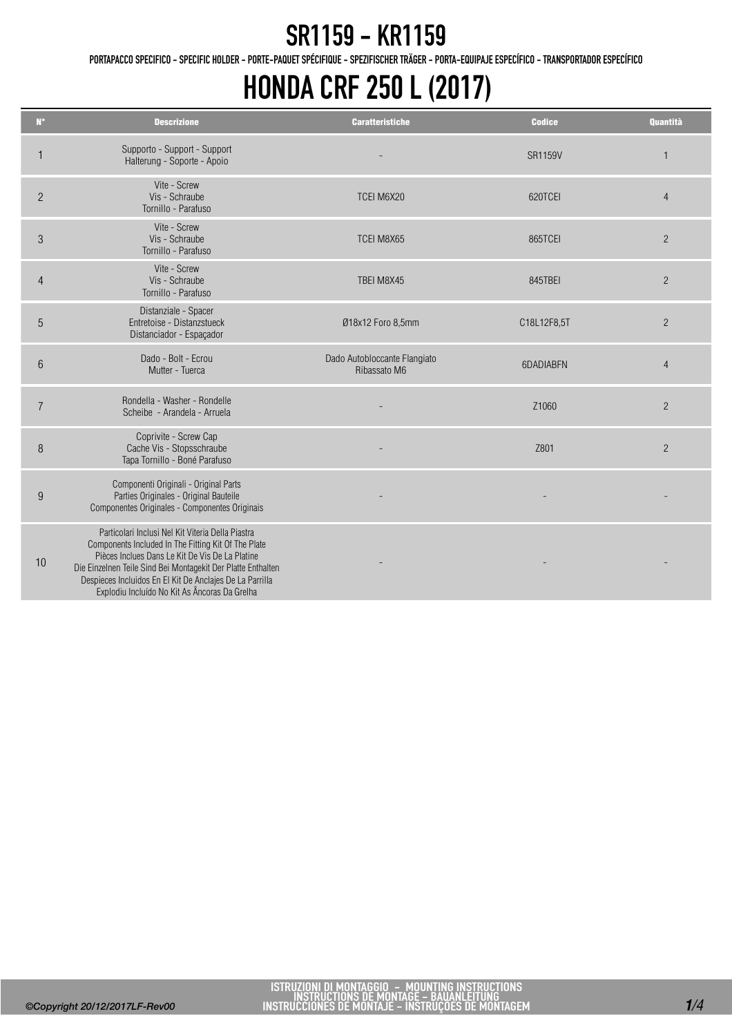PORTAPACCO SPECIFICO - SPECIFIC HOLDER - PORTE-PAQUET SPÉCIFIQUE - SPEZIFISCHER TRÄGER - PORTA-EQUIPAJE ESPECÍFICO - TRANSPORTADOR ESPECÍFICO

### HONDA CRF 250 L (2017)

| $N^{\circ}$     | <b>Descrizione</b>                                                                                                                                                                                                                                                                                                                       | <b>Caratteristiche</b>                       | <b>Codice</b>  | <b>Quantità</b> |
|-----------------|------------------------------------------------------------------------------------------------------------------------------------------------------------------------------------------------------------------------------------------------------------------------------------------------------------------------------------------|----------------------------------------------|----------------|-----------------|
|                 | Supporto - Support - Support<br>Halterung - Soporte - Apoio                                                                                                                                                                                                                                                                              |                                              | <b>SR1159V</b> |                 |
| $\overline{c}$  | Vite - Screw<br>Vis - Schraube<br>Tornillo - Parafuso                                                                                                                                                                                                                                                                                    | TCEI M6X20                                   | 620TCEI        | $\overline{4}$  |
| 3               | Vite - Screw<br>Vis - Schraube<br>Tornillo - Parafuso                                                                                                                                                                                                                                                                                    | TCEI M8X65                                   | 865TCEI        | $\overline{2}$  |
| $\overline{4}$  | Vite - Screw<br>Vis - Schraube<br>Tornillo - Parafuso                                                                                                                                                                                                                                                                                    | TBEI M8X45                                   | 845TBEI        | $\overline{2}$  |
| 5               | Distanziale - Spacer<br>Entretoise - Distanzstueck<br>Distanciador - Espaçador                                                                                                                                                                                                                                                           | Ø18x12 Foro 8,5mm                            | C18L12F8,5T    | $\overline{2}$  |
| $6\phantom{1}6$ | Dado - Bolt - Ecrou<br>Mutter - Tuerca                                                                                                                                                                                                                                                                                                   | Dado Autobloccante Flangiato<br>Ribassato M6 | 6DADIABEN      | $\overline{4}$  |
| $\overline{7}$  | Rondella - Washer - Rondelle<br>Scheibe - Arandela - Arruela                                                                                                                                                                                                                                                                             |                                              | Z1060          | $\overline{2}$  |
| 8               | Coprivite - Screw Cap<br>Cache Vis - Stopsschraube<br>Tapa Tornillo - Boné Parafuso                                                                                                                                                                                                                                                      |                                              | Z801           | $\overline{2}$  |
| 9               | Componenti Originali - Original Parts<br>Parties Originales - Original Bauteile<br>Componentes Originales - Componentes Originais                                                                                                                                                                                                        |                                              |                |                 |
| 10              | Particolari Inclusi Nel Kit Viteria Della Piastra<br>Components Included In The Fitting Kit Of The Plate<br>Pièces Inclues Dans Le Kit De Vis De La Platine<br>Die Einzelnen Teile Sind Bei Montagekit Der Platte Enthalten<br>Despieces Incluidos En El Kit De Anclajes De La Parrilla<br>Explodiu Incluído No Kit As Âncoras Da Grelha |                                              |                |                 |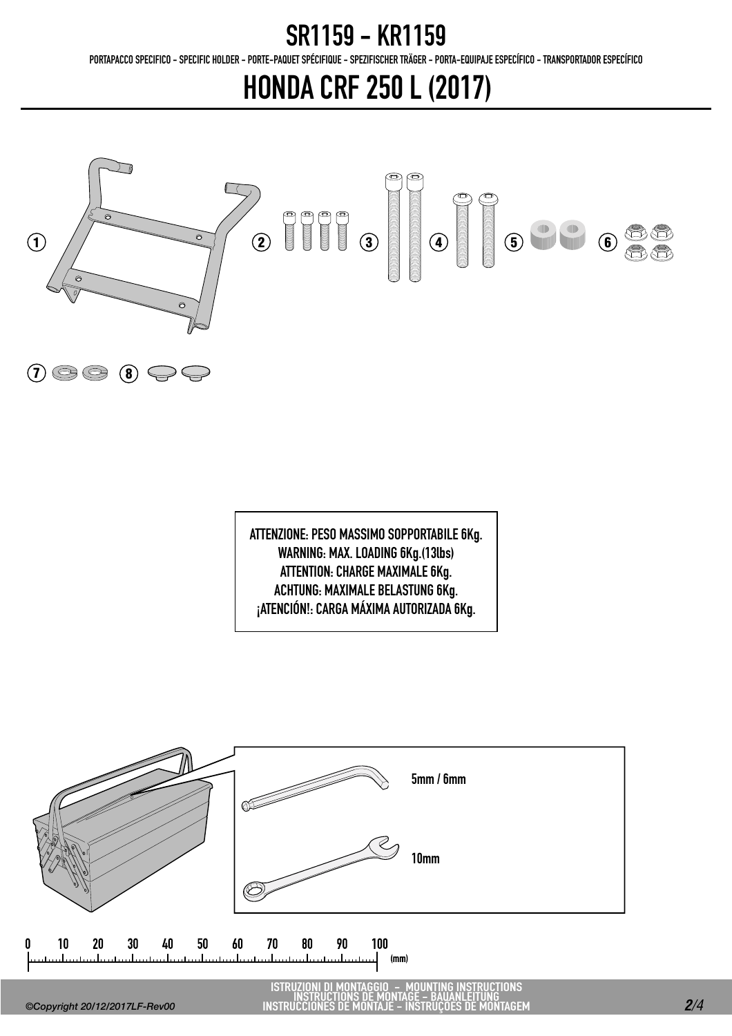PORTAPACCO SPECIFICO - SPECIFIC HOLDER - PORTE-PAQUET SPÉCIFIQUE - SPEZIFISCHER TRÄGER - PORTA-EQUIPAJE ESPECÍFICO - TRANSPORTADOR ESPECÍFICO

# HONDA CRF 250 L (2017)



ATTENZIONE: PESO MASSIMO SOPPORTABILE 6Kg. WARNING: MAX. LOADING 6Kg.(13lbs) ATTENTION: CHARGE MAXIMALE 6Kg. ACHTUNG: MAXIMALE BELASTUNG 6Kg. ¡ATENCIÓN!: CARGA MÁXIMA AUTORIZADA 6Kg.



ISTRUZIONI DI MONTAGGIO - MOUNTING INSTRUCTIONS INSTRUCTIONS DE MONTAGE - BAUANLEITUNG INSTRUCCIONES DE MONTAJE - INSTRUÇÕES DE MONTAGEM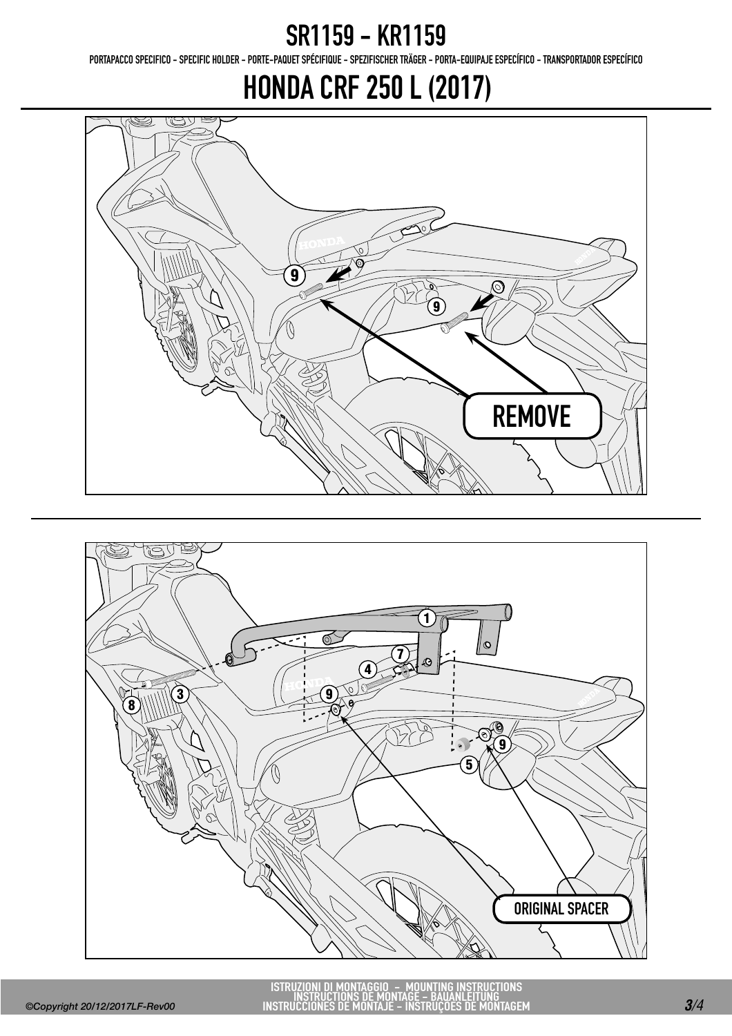PORTAPACCO SPECIFICO - SPECIFIC HOLDER - PORTE-PAQUET SPÉCIFIQUE - SPEZIFISCHER TRÄGER - PORTA-EQUIPAJE ESPECÍFICO - TRANSPORTADOR ESPECÍFICO

## HONDA CRF 250 L (2017)